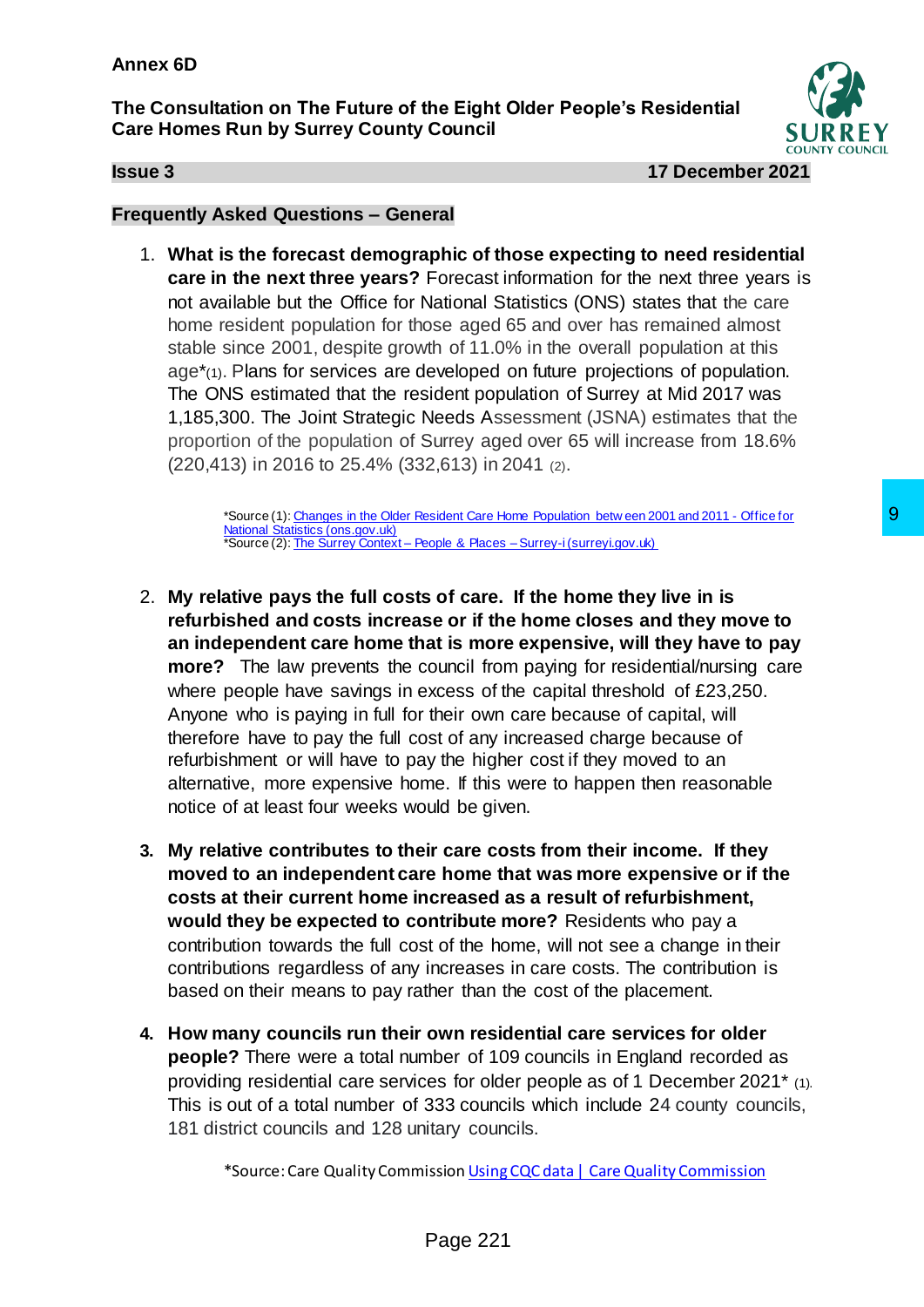**The Consultation on The Future of the Eight Older People's Residential Care Homes Run by Surrey County Council**



**Issue 3 17 December 2021**

## **Frequently Asked Questions – General**

1. **What is the forecast demographic of those expecting to need residential care in the next three years?** Forecast information for the next three years is not available but the Office for National Statistics (ONS) states that the care home resident population for those aged 65 and over has remained almost stable since 2001, despite growth of 11.0% in the overall population at this age\*(1). Plans for services are developed on future projections of population. The ONS estimated that the resident population of Surrey at Mid 2017 was 1,185,300. The Joint Strategic Needs Assessment (JSNA) estimates that the proportion of the population of Surrey aged over 65 will increase from 18.6% (220,413) in 2016 to 25.4% (332,613) in 2041 (2).

> \*Source (1)[: Changes in the Older Resident Care Home Population betw een 2001 and 2011 -](https://www.ons.gov.uk/peoplepopulationandcommunity/birthsdeathsandmarriages/ageing/articles/changesintheolderresidentcarehomepopulationbetween2001and2011/2014-08-01) Office for [National Statistics \(ons.gov.uk\)](https://www.ons.gov.uk/peoplepopulationandcommunity/birthsdeathsandmarriages/ageing/articles/changesintheolderresidentcarehomepopulationbetween2001and2011/2014-08-01) \*Source (2): The Surrey Context – People & Places – [Surrey-i \(surreyi.gov.uk\)](https://www.surreyi.gov.uk/jsna/surrey-context/#header-population-projections)

- 2. **My relative pays the full costs of care. If the home they live in is refurbished and costs increase or if the home closes and they move to an independent care home that is more expensive, will they have to pay more?** The law prevents the council from paying for residential/nursing care where people have savings in excess of the capital threshold of £23,250. Anyone who is paying in full for their own care because of capital, will therefore have to pay the full cost of any increased charge because of refurbishment or will have to pay the higher cost if they moved to an alternative, more expensive home. If this were to happen then reasonable notice of at least four weeks would be given. **Example 8 Consultance Consultance Consultance Consultance Consultance Consultance Section Section Section Section Section Article Consultation Consultation Consultation Consultation Consultation Consultation Consultatio**
- **3. My relative contributes to their care costs from their income. If they moved to an independent care home that was more expensive or if the costs at their current home increased as a result of refurbishment, would they be expected to contribute more?** Residents who pay a contribution towards the full cost of the home, will not see a change in their contributions regardless of any increases in care costs. The contribution is based on their means to pay rather than the cost of the placement.
- **4. How many councils run their own residential care services for older people?** There were a total number of 109 councils in England recorded as providing residential care services for older people as of 1 December 2021\* (1). This is out of a total number of 333 councils which include 24 county councils, 181 district councils and 128 unitary councils.

\*Source: Care Quality Commissio[n Using CQC data | Care Quality Commission](https://www.cqc.org.uk/about-us/transparency/using-cqc-data)